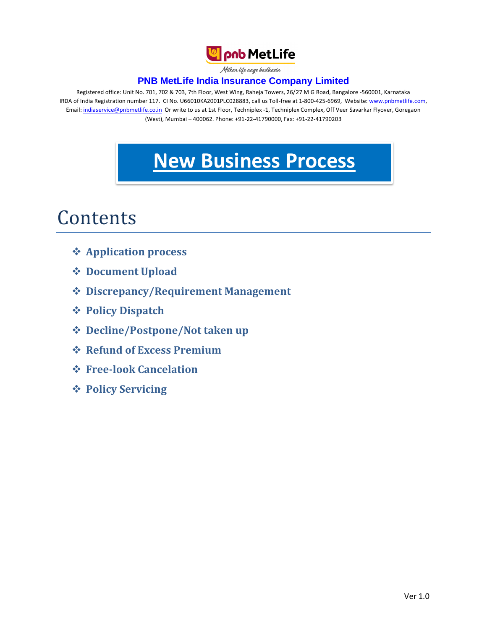

Milkar life aage badhaein

## **PNB MetLife India Insurance Company Limited**

Registered office: Unit No. 701, 702 & 703, 7th Floor, West Wing, Raheja Towers, 26/27 M G Road, Bangalore -560001, Karnataka IRDA of India Registration number 117. CI No. U66010KA2001PLC028883, call us Toll-free at 1-800-425-6969, Website[: www.pnbmetlife.com,](http://www.pnbmetlife.com/) Email: [indiaservice@pnbmetlife.co.in](mailto:indiaservice@pnbmetlife.co.in) Or write to us at 1st Floor, Techniplex -1, Techniplex Complex, Off Veer Savarkar Flyover, Goregaon (West), Mumbai – 400062. Phone: +91-22-41790000, Fax: +91-22-41790203

# **New Business Process**

# Contents

- **Application process**
- **Document Upload**
- **Discrepancy/Requirement Management**
- **Policy Dispatch**
- **Decline/Postpone/Not taken up**
- **Refund of Excess Premium**
- **Free-look Cancelation**
- **Policy Servicing**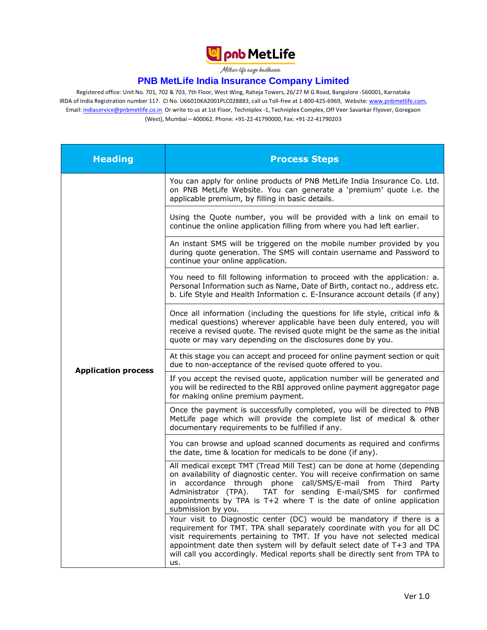

Milkan life aage hadhaein

#### **PNB MetLife India Insurance Company Limited**

Registered office: Unit No. 701, 702 & 703, 7th Floor, West Wing, Raheja Towers, 26/27 M G Road, Bangalore -560001, Karnataka IRDA of India Registration number 117. CI No. U66010KA2001PLC028883, call us Toll-free at 1-800-425-6969, Website[: www.pnbmetlife.com,](http://www.pnbmetlife.com/) Email: [indiaservice@pnbmetlife.co.in](mailto:indiaservice@pnbmetlife.co.in) Or write to us at 1st Floor, Techniplex -1, Techniplex Complex, Off Veer Savarkar Flyover, Goregaon (West), Mumbai – 400062. Phone: +91-22-41790000, Fax: +91-22-41790203

| <b>Heading</b>             | <b>Process Steps</b>                                                                                                                                                                                                                                                                                                                                                                           |
|----------------------------|------------------------------------------------------------------------------------------------------------------------------------------------------------------------------------------------------------------------------------------------------------------------------------------------------------------------------------------------------------------------------------------------|
|                            | You can apply for online products of PNB MetLife India Insurance Co. Ltd.<br>on PNB MetLife Website. You can generate a 'premium' quote i.e. the<br>applicable premium, by filling in basic details.                                                                                                                                                                                           |
|                            | Using the Quote number, you will be provided with a link on email to<br>continue the online application filling from where you had left earlier.                                                                                                                                                                                                                                               |
|                            | An instant SMS will be triggered on the mobile number provided by you<br>during quote generation. The SMS will contain username and Password to<br>continue your online application.                                                                                                                                                                                                           |
|                            | You need to fill following information to proceed with the application: a.<br>Personal Information such as Name, Date of Birth, contact no., address etc.<br>b. Life Style and Health Information c. E-Insurance account details (if any)                                                                                                                                                      |
|                            | Once all information (including the questions for life style, critical info &<br>medical questions) wherever applicable have been duly entered, you will<br>receive a revised quote. The revised quote might be the same as the initial<br>quote or may vary depending on the disclosures done by you.                                                                                         |
|                            | At this stage you can accept and proceed for online payment section or quit<br>due to non-acceptance of the revised quote offered to you.                                                                                                                                                                                                                                                      |
| <b>Application process</b> | If you accept the revised quote, application number will be generated and<br>you will be redirected to the RBI approved online payment aggregator page<br>for making online premium payment.                                                                                                                                                                                                   |
|                            | Once the payment is successfully completed, you will be directed to PNB<br>MetLife page which will provide the complete list of medical & other<br>documentary requirements to be fulfilled if any.                                                                                                                                                                                            |
|                            | You can browse and upload scanned documents as required and confirms<br>the date, time & location for medicals to be done (if any).                                                                                                                                                                                                                                                            |
|                            | All medical except TMT (Tread Mill Test) can be done at home (depending<br>on availability of diagnostic center. You will receive confirmation on same<br>accordance through phone call/SMS/E-mail from Third Party<br>in.<br>TAT for sending E-mail/SMS for confirmed<br>Administrator (TPA).<br>appointments by TPA is T+2 where T is the date of online application<br>submission by you.   |
|                            | Your visit to Diagnostic center (DC) would be mandatory if there is a<br>requirement for TMT. TPA shall separately coordinate with you for all DC<br>visit requirements pertaining to TMT. If you have not selected medical<br>appointment date then system will by default select date of T+3 and TPA<br>will call you accordingly. Medical reports shall be directly sent from TPA to<br>us. |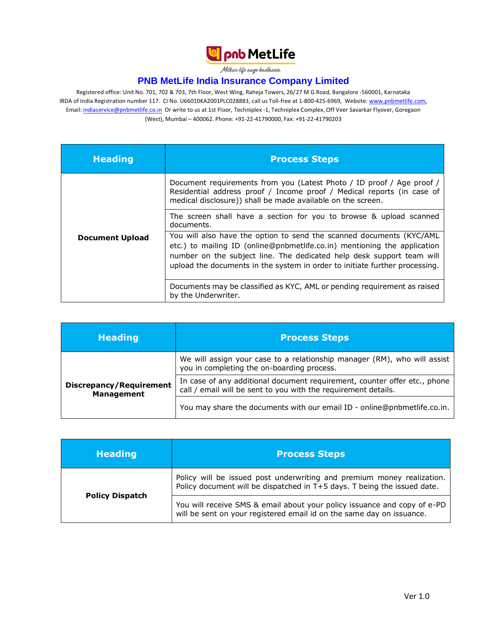

Milkar life aage badhaein

## **PNB MetLife India Insurance Company Limited**

Registered office: Unit No. 701, 702 & 703, 7th Floor, West Wing, Raheja Towers, 26/27 M G Road, Bangalore -560001, Karnataka IRDA of India Registration number 117. CI No. U66010KA2001PLC028883, call us Toll-free at 1-800-425-6969, Website[: www.pnbmetlife.com,](http://www.pnbmetlife.com/) Email: [indiaservice@pnbmetlife.co.in](mailto:indiaservice@pnbmetlife.co.in) Or write to us at 1st Floor, Techniplex -1, Techniplex Complex, Off Veer Savarkar Flyover, Goregaon (West), Mumbai – 400062. Phone: +91-22-41790000, Fax: +91-22-41790203

| <b>Heading</b>         | <b>Process Steps</b>                                                                                                                                                                                                                                                                                                                                                                         |
|------------------------|----------------------------------------------------------------------------------------------------------------------------------------------------------------------------------------------------------------------------------------------------------------------------------------------------------------------------------------------------------------------------------------------|
|                        | Document requirements from you (Latest Photo / ID proof / Age proof /<br>Residential address proof / Income proof / Medical reports (in case of<br>medical disclosure)) shall be made available on the screen.                                                                                                                                                                               |
| <b>Document Upload</b> | The screen shall have a section for you to browse & upload scanned<br>documents.<br>You will also have the option to send the scanned documents (KYC/AML<br>etc.) to mailing ID (online@pnbmetlife.co.in) mentioning the application<br>number on the subject line. The dedicated help desk support team will<br>upload the documents in the system in order to initiate further processing. |
|                        | Documents may be classified as KYC, AML or pending requirement as raised<br>by the Underwriter.                                                                                                                                                                                                                                                                                              |

| <b>Heading</b>                                      | <b>Process Steps</b>                                                                                                                        |
|-----------------------------------------------------|---------------------------------------------------------------------------------------------------------------------------------------------|
|                                                     | We will assign your case to a relationship manager (RM), who will assist<br>you in completing the on-boarding process.                      |
| <b>Discrepancy/Requirement</b><br><b>Management</b> | In case of any additional document requirement, counter offer etc., phone<br>call / email will be sent to you with the requirement details. |
|                                                     | You may share the documents with our email ID - online@pnbmetlife.co.in.                                                                    |

| <b>Heading</b>         | <b>Process Steps</b>                                                                                                                               |
|------------------------|----------------------------------------------------------------------------------------------------------------------------------------------------|
|                        | Policy will be issued post underwriting and premium money realization.<br>Policy document will be dispatched in T+5 days. T being the issued date. |
| <b>Policy Dispatch</b> | You will receive SMS & email about your policy issuance and copy of e-PD<br>will be sent on your registered email id on the same day on issuance.  |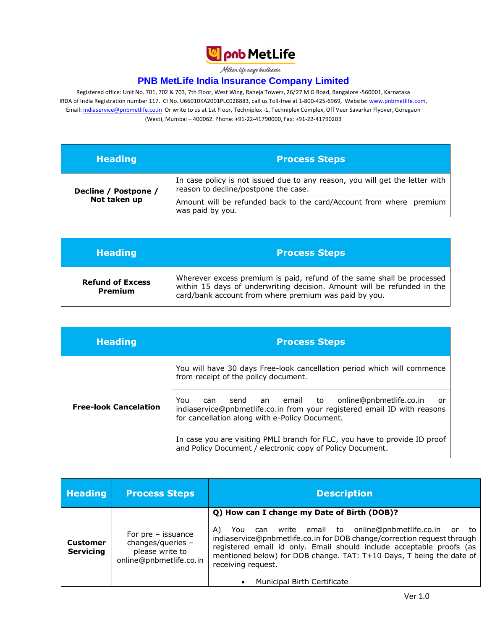

Milkar life aage badhaein

## **PNB MetLife India Insurance Company Limited**

Registered office: Unit No. 701, 702 & 703, 7th Floor, West Wing, Raheja Towers, 26/27 M G Road, Bangalore -560001, Karnataka IRDA of India Registration number 117. CI No. U66010KA2001PLC028883, call us Toll-free at 1-800-425-6969, Website[: www.pnbmetlife.com,](http://www.pnbmetlife.com/) Email: [indiaservice@pnbmetlife.co.in](mailto:indiaservice@pnbmetlife.co.in) Or write to us at 1st Floor, Techniplex -1, Techniplex Complex, Off Veer Savarkar Flyover, Goregaon (West), Mumbai – 400062. Phone: +91-22-41790000, Fax: +91-22-41790203

| <b>Heading</b>       | <b>Process Steps</b>                                                                                                 |
|----------------------|----------------------------------------------------------------------------------------------------------------------|
| Decline / Postpone / | In case policy is not issued due to any reason, you will get the letter with<br>reason to decline/postpone the case. |
| Not taken up         | Amount will be refunded back to the card/Account from where premium<br>was paid by you.                              |

| <b>Heading</b>                     | <b>Process Steps</b>                                                                                                                                                                                       |
|------------------------------------|------------------------------------------------------------------------------------------------------------------------------------------------------------------------------------------------------------|
| <b>Refund of Excess</b><br>Premium | Wherever excess premium is paid, refund of the same shall be processed<br>within 15 days of underwriting decision. Amount will be refunded in the<br>card/bank account from where premium was paid by you. |

| <b>Heading</b>               | <b>Process Steps</b>                                                                                                                                                                         |
|------------------------------|----------------------------------------------------------------------------------------------------------------------------------------------------------------------------------------------|
|                              | You will have 30 days Free-look cancellation period which will commence<br>from receipt of the policy document.                                                                              |
| <b>Free-look Cancelation</b> | send an email to online@pnbmetlife.co.in<br>You<br>can<br>- or<br>indiaservice@pnbmetlife.co.in from your registered email ID with reasons<br>for cancellation along with e-Policy Document. |
|                              | In case you are visiting PMLI branch for FLC, you have to provide ID proof<br>and Policy Document / electronic copy of Policy Document.                                                      |

| <b>Heading</b>                      | <b>Process Steps</b>                                                                     | <b>Description</b>                                                                                                                                                                                                                                                                                                                                                                                           |
|-------------------------------------|------------------------------------------------------------------------------------------|--------------------------------------------------------------------------------------------------------------------------------------------------------------------------------------------------------------------------------------------------------------------------------------------------------------------------------------------------------------------------------------------------------------|
| <b>Customer</b><br><b>Servicing</b> | For $pre - is$ suance<br>changes/queries -<br>please write to<br>online@pnbmetlife.co.in | Q) How can I change my Date of Birth (DOB)?<br>write email to online@pnbmetlife.co.in or to<br>A)<br>You<br>can<br>indiaservice@pnbmetlife.co.in for DOB change/correction request through<br>registered email id only. Email should include acceptable proofs (as<br>mentioned below) for DOB change. TAT: T+10 Days, T being the date of<br>receiving request.<br>Municipal Birth Certificate<br>$\bullet$ |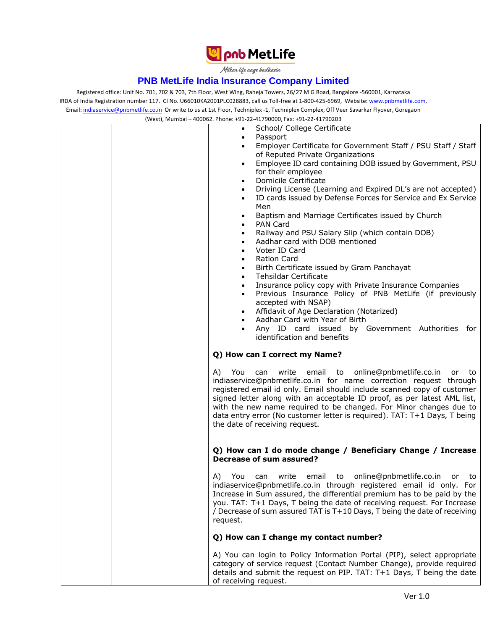

Milkar life aage hadhaein

#### **PNB MetLife India Insurance Company Limited**

Registered office: Unit No. 701, 702 & 703, 7th Floor, West Wing, Raheja Towers, 26/27 M G Road, Bangalore -560001, Karnataka IRDA of India Registration number 117. CI No. U66010KA2001PLC028883, call us Toll-free at 1-800-425-6969, Website[: www.pnbmetlife.com,](http://www.pnbmetlife.com/) Email: [indiaservice@pnbmetlife.co.in](mailto:indiaservice@pnbmetlife.co.in) Or write to us at 1st Floor, Techniplex -1, Techniplex Complex, Off Veer Savarkar Flyover, Goregaon (West), Mumbai – 400062. Phone: +91-22-41790000, Fax: +91-22-41790203

• School/ College Certificate

- Passport
- 
- Employer Certificate for Government Staff / PSU Staff / Staff of Reputed Private Organizations
- Employee ID card containing DOB issued by Government, PSU for their employee
- Domicile Certificate
- Driving License (Learning and Expired DL's are not accepted)
- ID cards issued by Defense Forces for Service and Ex Service Men
- Baptism and Marriage Certificates issued by Church
- PAN Card
	- Railway and PSU Salary Slip (which contain DOB)
- Aadhar card with DOB mentioned
- Voter ID Card
- Ration Card
- Birth Certificate issued by Gram Panchayat
- Tehsildar Certificate
- Insurance policy copy with Private Insurance Companies
- Previous Insurance Policy of PNB MetLife (if previously accepted with NSAP)
- Affidavit of Age Declaration (Notarized)
- Aadhar Card with Year of Birth
- Any ID card issued by Government Authorities for identification and benefits

#### **Q) How can I correct my Name?**

A) You can write email to online@pnbmetlife.co.in or to indiaservice@pnbmetlife.co.in for name correction request through registered email id only. Email should include scanned copy of customer signed letter along with an acceptable ID proof, as per latest AML list, with the new name required to be changed. For Minor changes due to data entry error (No customer letter is required). TAT: T+1 Days, T being the date of receiving request.

#### **Q) How can I do mode change / Beneficiary Change / Increase Decrease of sum assured?**

A) You can write email to online@pnbmetlife.co.in or to indiaservice@pnbmetlife.co.in through registered email id only. For Increase in Sum assured, the differential premium has to be paid by the you. TAT: T+1 Days, T being the date of receiving request. For Increase / Decrease of sum assured TAT is T+10 Days, T being the date of receiving request.

#### **Q) How can I change my contact number?**

A) You can login to Policy Information Portal (PIP), select appropriate category of service request (Contact Number Change), provide required details and submit the request on PIP. TAT: T+1 Days, T being the date of receiving request.